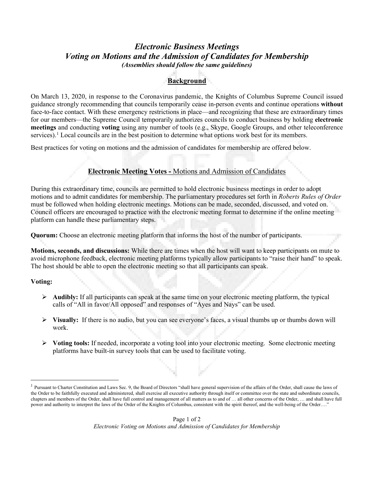# *Electronic Business Meetings Voting on Motions and the Admission of Candidates for Membership (Assemblies should follow the same guidelines)*

## **Background**

On March 13, 2020, in response to the Coronavirus pandemic, the Knights of Columbus Supreme Council issued guidance strongly recommending that councils temporarily cease in-person events and continue operations **without** face-to-face contact. With these emergency restrictions in place—and recognizing that these are extraordinary times for our members—the Supreme Council temporarily authorizes councils to conduct business by holding **electronic meetings** and conducting **voting** using any number of tools (e.g., Skype, Google Groups, and other teleconference services).<sup>[1](#page-0-0)</sup> Local councils are in the best position to determine what options work best for its members.

Best practices for voting on motions and the admission of candidates for membership are offered below.

### **Electronic Meeting Votes -** Motions and Admission of Candidates

During this extraordinary time, councils are permitted to hold electronic business meetings in order to adopt motions and to admit candidates for membership. The parliamentary procedures set forth in *Roberts Rules of Order*  must be followed when holding electronic meetings. Motions can be made, seconded, discussed, and voted on. Council officers are encouraged to practice with the electronic meeting format to determine if the online meeting platform can handle these parliamentary steps.

**Quorum:** Choose an electronic meeting platform that informs the host of the number of participants.

**Motions, seconds, and discussions:** While there are times when the host will want to keep participants on mute to avoid microphone feedback, electronic meeting platforms typically allow participants to "raise their hand" to speak. The host should be able to open the electronic meeting so that all participants can speak.

#### **Voting:**

- **Audibly:** If all participants can speak at the same time on your electronic meeting platform, the typical calls of "All in favor/All opposed" and responses of "Ayes and Nays" can be used.
- **Visually:** If there is no audio, but you can see everyone's faces, a visual thumbs up or thumbs down will work.
- **Voting tools:** If needed, incorporate a voting tool into your electronic meeting. Some electronic meeting platforms have built-in survey tools that can be used to facilitate voting.

<span id="page-0-0"></span><sup>&</sup>lt;sup>1</sup> Pursuant to Charter Constitution and Laws Sec. 9, the Board of Directors "shall have general supervision of the affairs of the Order, shall cause the laws of the Order to be faithfully executed and administered, shall exercise all executive authority through itself or committee over the state and subordinate councils, chapters and members of the Order, shall have full control and management of all matters as to and of … all other concerns of the Order, … and shall have full power and authority to interpret the laws of the Order of the Knights of Columbus, consistent with the spirit thereof, and the well-being of the Order…."